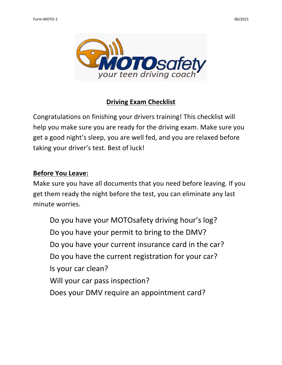

# **Driving Exam Checklist**

Congratulations on finishing your drivers training! This checklist will help you make sure you are ready for the driving exam. Make sure you get a good night's sleep, you are well fed, and you are relaxed before taking your driver's test. Best of luck!

### **Before You Leave:**

Make sure you have all documents that you need before leaving. If you get them ready the night before the test, you can eliminate any last minute worries.

Do you have your MOTOsafety driving hour's log? Do you have your permit to bring to the DMV? Do you have your current insurance card in the car? Do you have the current registration for your car? Is your car clean? Will your car pass inspection? Does your DMV require an appointment card?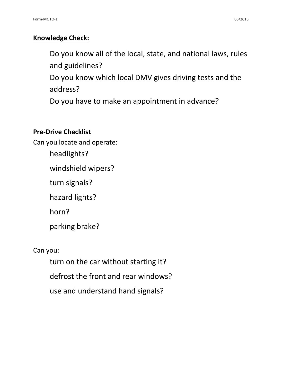## **Knowledge Check:**

Do you know all of the local, state, and national laws, rules and guidelines?

Do you know which local DMV gives driving tests and the address?

Do you have to make an appointment in advance?

#### **Pre-Drive Checklist**

Can you locate and operate:

headlights?

windshield wipers?

turn signals?

hazard lights?

horn?

parking brake?

# Can you:

turn on the car without starting it? defrost the front and rear windows? use and understand hand signals?